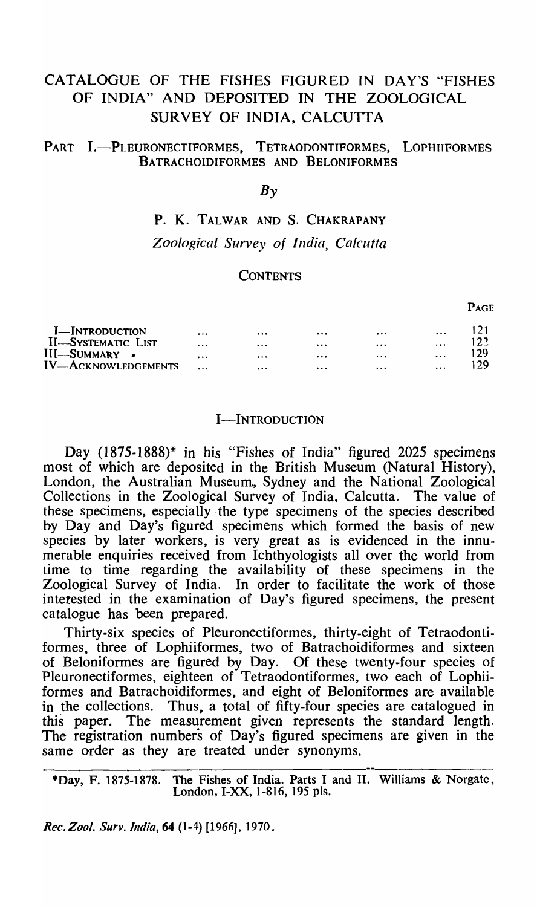# CATALOGUE OF THE FISHES FIGURED IN DAY'S "FISHES OF INDIA" AND DEPOSITED IN THE ZOOLOGICAL SURVEY OF INDIA, CALCUTTA

# PART I.-PLEURONECTIFORMES, TETRAODONTIFORMES, LOPHIIFORMES BATRACHOIDIFORMES AND BELONIFORMES

# $Bv$

# P. K. TALWAR AND S. CHAKRAPANY *Zoological Survey of India, Calcutta*

### **CONTENTS**

121 I-INTRODUCTION  $\dddotsc$  $\dddot{\phantom{0}}$  $\ddotsc$  $\dddotsc$  $\ddotsc$ II-SYSTEMATIC LIST 122  $\mathbf{r}$  $\ddotsc$  $\mathbf{r}$  $\mathbf{r}$  $\dddotsc$ III-SUMMARY • 129  $\ddotsc$  $\dddotsc$  $\dddotsc$  $\mathbf{L}$  $\dddotsc$ 129 IV-Acknowledgements  $\ddotsc$  $\ddotsc$  $\dddotsc$  $\ddotsc$  $\ddotsc$ 

### I-INTRODUCTION

Day (1875-1888)\* in his "Fishes of India" figured 2025 specimens most of which are deposited in the British Museum (Natural History), London, the Australian Museum, Sydney and the National Zoological Collections in the Zoological Survey of India, Calcutta. The value of these specimens, especially. the type specimens of the species described by Day and Day's figured specimens which formed the basis of new species by later workers, is very great as is evidenced in the innumerable enquiries received from Ichthyologists all over the world from time to time regarding the availability of these specimens in the Zoological Survey of India. In order to facilitate the work of those interested in the examination of Day's figured specimens, the present catalogue has been prepared.

Thirty-six species of Pleuronectiformes, thirty-eight of Tetraodontiformes, three of Lophiiformes, two of Batrachoidiformes and sixteen of Beloniformes are figured by Day. Of these twenty-four species of Pleuronectiformes, eighteen of Tetraodontiformes, two each of Lophiiformes and Batrachoidiformes, and eight of Beloniformes are available in the collections. Thus, a total of fifty-four species are catalogued in this paper. The measurement given represents the standard length. The registration numbers of Day's figured specimens are given in the same order as they are treated under synonyms.

\*Day, F. 1875-1878. The Fishes of India. Parts I and II. WiIIiams & Norgate, London, I-XX, 1-816, 195 pIs.

*Rec. Zool. Surv. India,* 64 (1-4) [1966], 1970.

PAGE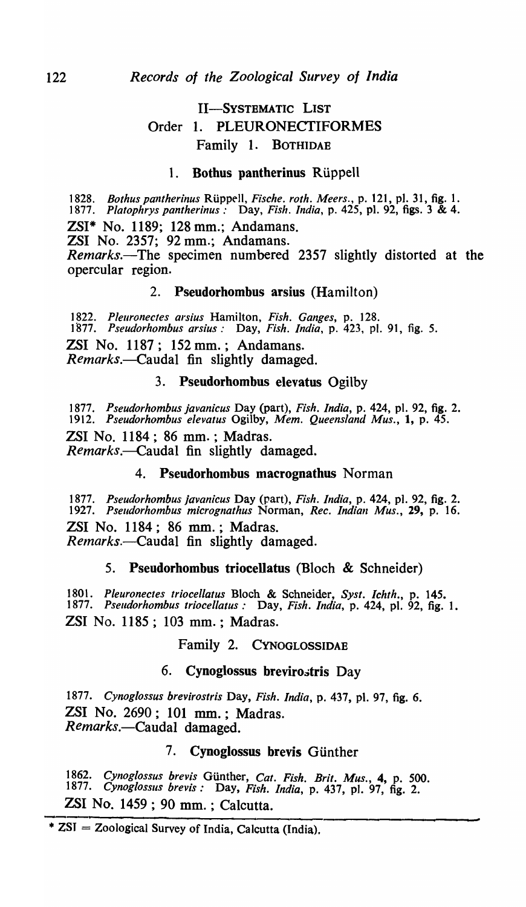# II-SYSTEMATIC LIST Order 1. PLEURONECTIFORMES Family 1. BOTHIDAE

### 1. Bothus pantherinus Rüppell

1828. *Bothus pantherinus* Rüppell, *Fische. roth. Meers.*, p. 121, pl. 31, fig. 1. *1877. Platophrys pantherinus:* Day, *Fish. India,* p. 425, pI. 92, figs. 3 & 4.

ZSI\* No. 1189; 128 mm.; Andamans.

ZSI No. 2357; 92 mm.; Andamans.

*Remarks.-The* specimen numbered 2357 slightly distorted at the opercular region.

# 2. Pseudorhombus arsius (Hamilton)

*1822. Pleuronecfes arsius* Hamilton, *Fish. Ganges,* p. 128. *1877. Pseudorhombus arsius:* Day, *Fish. India,* p. 423, pI. 91, fig. 5. ZSI No. 1187; 152 mm.; Andamans. *Remarks.-Caudal* fin slightly damaged.

# 3. Pseudorhombus elevatus Ogilby

*1877. Pseudorhombus javanicus* Day (part), *Fish. India,* p. 424, pI. 92, fig. 2. *1912. Pseudorhombus elevatus* Ogilby, *Mem. Queensland Mus.,* 1, p. 45. ZSI No. 1184; 86 mm. ; Madras. *Remarks.-Caudal* fin slightly damaged.

# 4. Pseudorhombus macrognathus Norman

*1877. Pseudorhombus javanicus* Day (part), *Fish. India,* p. 424, pI. 92, fig. 2. *1927. Pseudorhombus micrognathus* Norman, *Rec. Indian Mus.,* 29, p. 16. ZSI No. 1184; 86 mm.; Madras. *Remarks.*—Caudal fin slightly damaged.

# 5. Pseudorhombus triocellatus (Bloch & Schneider)

*1801. Pleuronectes triocellatus* Bloch & Schneider, *Syst. Ichfh.,* p. 145. *1877. Pseudorhombus triocellatus:* Day, *Fish. India,* p. 424, pI. 92, fig. 1. ZSI No. 1185; 103 mm.; Madras.

### Family 2. CYNOGLOSSIDAE

### 6. Cynoglossus brevirostris Day

*1877. Cynog[ossus brevirostris* Day, *Fish. India,* p. 437, pI. 97, fig. 6. ZSI No. 2690; 101 mm.; Madras. *Remarks.-Caudal* damaged.

# 7. Cynoglossus brevis Günther

*1862. Cynog[ossus brevis* GUnther, *Cat. Fish. Brit. Mus.,* 4, p. 500. *1877. Cynog[ossus brevis:* Day, *Fish. India,* p. 437, pI. 97, fig. 2. ZSI No. 1459; 90 mm. ; Calcutta.

<sup>\*</sup> ZSI = Zoological Survey of India, Calcutta (India).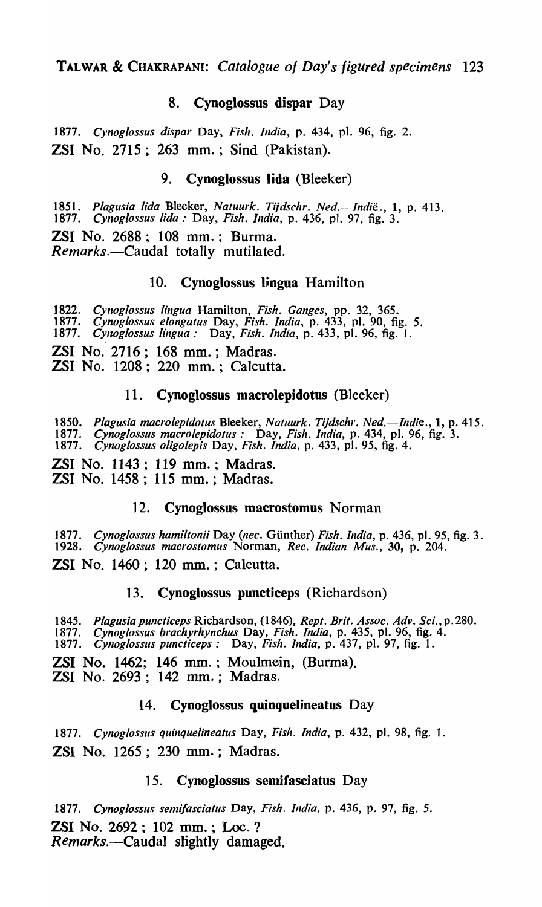# 8. Cynoglossus dispar Day

*1877. Cynoglossus dispar* Day, *Fish. India,* p. 434, p1. 96, fig. 2. ZSI No. 2715; 263 mm.; Sind (Pakistan).

# 9. Cynoglossus lida (Bleeker)

*1851. Plagusia lida* Bleeker, *Natuurk. Ti;dschr. Ned.- Indie.,* 1, p. 413. *1877. CYlloglossus lido:* Day, *Fish. India,* p. 436, p1. 97, fig. 3.

ZSI No. 2688; 108 mm.; Burma. *Remarks.-Caudal* totally mutilated.

### 10. Cynoglossus lingua Hamilton

*1822. Cynoglossus lingua* Hamilton, *Fish. Ganges,* pp. 32, 365. *1877. Cynog!ossus elongatus* Day, *Fish. India,* p. 433, pI. 90, fig. 5. *1877. CYlZoglossus lingua:* Day, *Fish. India,* p. 433, pI. 96, fig. 1. ZSI No. 2716; 168 mm.; Madras. ZSI No. 1208; 220 mm.; Calcutta.

### 11. Cynoglossus macrolepidotus (Bleeker)

1850. Plagusia macrolepidotus Bleeker, *Natuurk. Tijdschr. Ned.—Indie.*, 1, p. 415.<br>1877. Cynoglossus macrolepidotus: Day, Fish. India, p. 434, pl. 96, fig. 3. *1877. Cynoglossus macrolepidotus:* Day, *Fish. India,* p. 434, pI. 96, fig. 3. *1877. Cynog/ossus oligolepis* Day, *Fish. India,* p. 433, pI. 95, fig. 4.

ZSI No. 1143; 119 mm.; Madras. ZSI No. 1458; 115 mm. ; Madras.

### 12. Cynoglossus macrostomus Norman

1877. *Cynoglossus hamiltonii Day (nec. Günther) Fish. India, p.* 436, pl. 95, fig. 3.<br>1928. *Cynoglossus macrostomus Norman, Rec. Indian Mus.*, 30, p. 204. *1928. Cynoglossus macrostomus* Norman, *Rec. Indian Mus.,* 30, p. 204.

**ZSI No. 1460; 120 mm.; Calcutta.** 

### 13. Cynoglossus puncticeps (Richardson)

*1845. Plagusiapuncticeps* Richardson, (1846), *Rept. Brit. Assoc. Adv.* Sci.,p.280.

*1877. Cynoglossus brachyrhynchus* Day, *Fish. India,* p. 435, pI. 96, fig. 4.

*1877. Cynoglosslls puncticeps:* Day, *Fish. India,* p. 437, pI. 97, fig. 1.

ZSI No. 1462; 146 mm. ; Moulmein, (Burma). ZSI No. 2693; 142 mm.; Madras.

# 14. Cynoglossus quinquelineatus Day

*1877. Cynog!osslls quinquelineatus* Day, *Fish. India,* p. 432, pI. 98, fig. 1. ZSI No. 1265; 230 mm.; Madras.

### 15. Cynoglossus semifasciatus Day

1877. Cynoglossus semifasciatus Day, Fish. India, p. 436, p. 97, fig. 5. ZSI No. 2692; 102 mm. ; Loc. ? *Remarks.-Caudal* slightly damaged.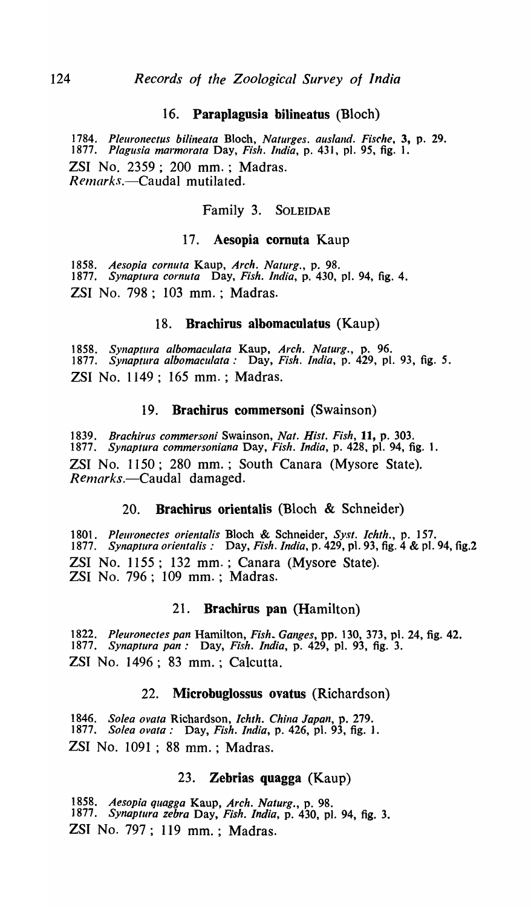### 16. Paraplagusia bilineatus (Bloch)

*1784. Pleurollectus bililleata* Bloch, *Nalurges. ausland. Fische,* 3, p. 29. *1877. Plagllsia marmorafa* Day, *Fish. India,* p. 431, pI. 95, fig. 1. ZSI No. 2359; 200 mm. ; Madras. *Relnarks.-Caudal* mutilated.

# Family 3. SOLEIDAE

### 17. Aesopia cornuta Kaup

*1858. Aesopia cornuta* Kaup, *Arch. Naturg.,* p. 98. *1877. Synaptllra cornuta* Day, *Fish. India,* p. 430, pI. 94, fig. 4. ZSI No. 798; 103 mm. ; Madras.

#### 18. Brachirus albomaculatus (Kaup)

*1858. SYllaptlira albomaculala* Kaup, *Arch. Naturg.,* p. 96. *1877. SYllaptlira albomaculata:* Day, *Fish. India,* p. 429, pI. 93, fig. 5. ZSI No. 1149; 165 mm. ; Madras.

#### 19. Brachirus commersoni (Swainson)

*1839. Brachirus commersoni* Swainson, *Nat. Hist. Fish,* 11, p. 303. *1877. Synaptura commersoniana* Day, *Fish. India,* p. 428, pI. 94, fig. 1. ZSI No. 1150; 280 mm.; South Canara (Mysore State). *Renlarks.-Caudal* damaged.

### 20. Brachirus orientalis (Bloch & Schneider)

*1801. Pleuronectes orientalis* Bloch & Schneider, *Syst. Ichth.,* p. 157. 1877. *Synaptura orientalis:* Day, *Fish. India*, p. 429, pl. 93, fig. 4 & pl. 94, fig.2 ZSI No. 1155; 132 mm. ; Canara (Mysore State). ZSI No. 796; 109 mm. ; Madras.

#### 21. Brachirus pan (Hamilton)

t 822. *Pleuronectes pan* Hamilton, *Fish. Ganges,* pp. 130, 373, pI. 24, fig. 42. *1877. Synaptura pan:* Day, *Fish. India,* p. 429, pI. 93, fig. 3. ZST No. 1496; 83 mm. ; Calcutta.

### 22. Microbuglossus ovatus (Richardson)

*1846. Solea ovala* Richardson, *Ichth. China Japan,* p. 279. *1877. Solea ovala:* Day, *Fish. India,* p. 426, pI. 93, fig. 1. ZSI No. 1091 ; 88 mm. ; Madras.

### 23. Zebrias quagga (Kaup)

*1858. Aesopia quagga* Kaup, *Arch. Naturg.,* p. 98. ] 877. *Synaptura zebra* Day, *Fish. India,* p. 430, pI. 94, fig. 3. ZSI No. 797; 119 mm. ; Madras.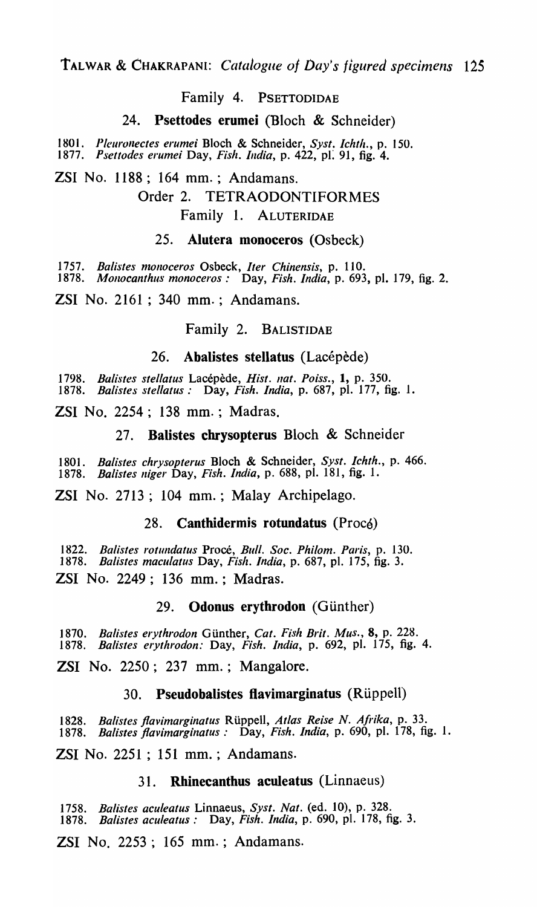### Family 4. PSETTODIDAE

### 24. Psettodes erumei (Bloch & Schneider)

1801. Pleuronectes erumei Bloch & Schneider, Syst. Ichth., p. 150. *1877. Psettodes erumei* Day, *Fish. India,* p. 422, pI: 91, fig. 4.

ZSI No. 1188; 164 mm. ; Andamans. Order 2. TETRAODONTIFORMES Family 1. ALUTERIDAE

#### 25. Alutera monoceros (Osbeck)

1757. Balistes monoceros Osbeck, *Iter Chinensis*, p. 110. *1878. MOllocanthus monoceros:* Day, *Fish. India,* p. 693, pI. 179, fig. 2.

ZSI No. 2161 ; 340 mm. ; Andamans.

# Family 2. BALISTIDAE

### 26. Abalistes stellatus (Lacépède)

1798. Balistes stellatus Lacépède, *Hist. nat. Poiss.*, 1, p. 350. *1878. Balistes stellatus:* Day, *Fish. India,* p. 687, pi. 177, fig. 1.

ZSI No. 2254; 138 mm. ; Madras.

### 27. Balistes cbrysopterus Bloch & Schneider

*1801. Balistes chrysopterus* Bloch & Schneider, *Syst. Ichth.,* p. 466. *1878. Balistes "iger* Day, *Fish. India,* p. 688, pI. 181, fig. 1.

ZSI No. 2713; 104 mm.; Malay Archipelago.

### 28. Canthidermis rotundatus (Procé)

*1822. Balistes rotundatus* Proce, *Bull. Soc. Phi/om. Paris,* p. 130. *1878. Batistes maculatus* Day, *Fish. India,* p. 687, pI. 175, fig. 3. ZSI No. 2249; 136 mm. ; Madras.

### 29. Odonus erythrodon (Günther)

1870. Balistes erythrodon Günther, Cat. Fish Brit. Mus., 8, p. 228. *1878. Balistes erythrodon:* Day, *Fish. India,* p. 692, pI. 175, fig. 4.

ZSI No. 2250; 237 mm.; Mangalore.

### 30. Pseudobalistes flavimarginatus (Rüppell)

*1828. Batistes /lavimarginatus* RUppell, *Atlas Reise N. Afrika,* p. 33. *1878. Batistes /lavimarginatus:* Day, *Fish. India,* p. 690, pI. 178, fig. 1.

ZSI No. 2251 ; 151 mm. ; Andamans.

# 31. Rhinecanthus aculeatus (Linnaeus)

*1758. Balistes aculeatus* Linnaeus, *Syst. Nat.* (ed. 10), p. 328. *1878. Balistes aculeatus:* Day, *Fish. India,* p. 690, pI. 178, fig. 3.

ZSI No. 2253; 165 mm. ; Andamans.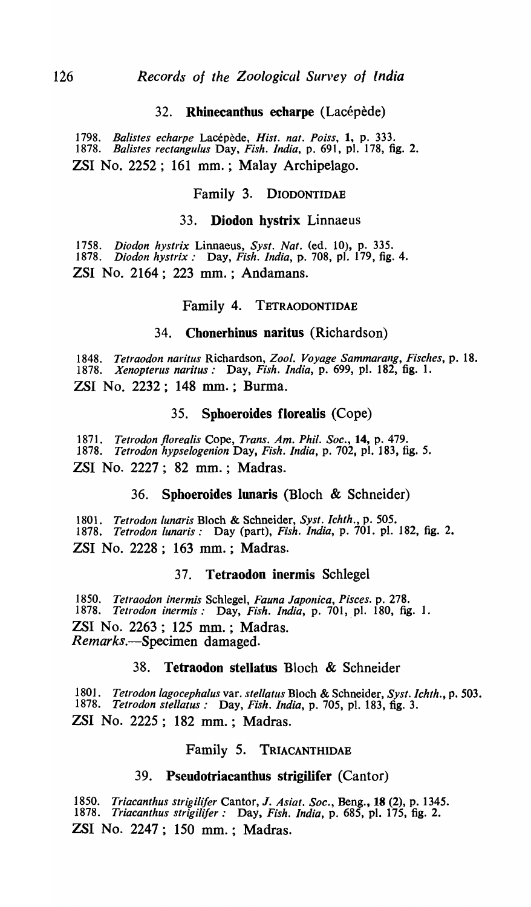# 32. Rhinecanthus echarpe (Lacépède)

*1798. Balistes echarpe* Lacepede, *Hist. nat. Po iss,* 1, p. 333. *1878. Batistes rectangulus* Day, *Fish. India,* p. 691, pI. 178, fig. 2. ZSI No. 2252; 161 mm.; Malay Archipelago.

#### Family 3. DIODONTIDAE

#### 33. Diodon bystrix Linnaeus

*1758. Diodon hystrix* Linnaeus, *Syst. Nat.* (ed. 10), p. 335. *1878. Diodon hystrix:* Day, *Fish. India,* p. 708, pI. 179, fig. 4. ZSI No. 2164; 223 mm. ; Andamans.

#### Family 4. TETRAODONTIDAE

#### 34. Chonerbinus naritus (Richardson)

*1848. Tetraodon naritus* Richardson, *Zool. Voyage Sammarang, Fisches,* p. 18. *1878. Xenopterus naritus:* Day, *Fish. India,* p. 699, pI. 182, fig. 1. ZSI No. 2232; 148 mm. ; Burma.

#### 35. Spboeroides florealis (Cope)

*1871. Tetrodon floreatis* Cope, *Trans. Am. Phil. Soc.,* 14, p. 479. *1878. Tetrodon hypselogenion* Day, *Fish. India,* p. 702, pI. 183, fig. 5. ZSI No. 2227; 82 mm.; Madras.

### 36. Spboeroides lunaris (Bloch & Schneider)

*1801. Tetrodon lunaris* Bloch & Schneider, *Syst. Ichth.,* p. 505. *1878. Tetrodon lunaris:* Day (part), *Fish. India,* p. 701. pI. 182, fig. 2. ZSI No. 2228; 163 mm. ; Madras.

#### 37. Tetraodon inermis Schlegel

*1850. Tetraodon inermis* Schlegel, *Fauna Japonica, Pisces.* p. 278. 1878. *Tetrodon inermis:* Day, *Fish. India*, p. 701, pl. 180, fig. 1. ZSI No. 2263; 125 mm. ; Madras. *Remarks.-Specimen* damaged.

### 38. Tetraodon stellatus Bloch & Schneider

*1801. Tetrodon lagocephalus* yare *stellatus* Bloch & Schneider, *Syst. Iehth.,* p. 503. *1878. Tetrodon stellatus:* Day, *Fish. India,* p. 705, pI. 183, fig. 3. ZSI No. 2225; 182 mm.; Madras.

### Family 5. TRIACANTHIDAB

#### 39. Pseudotriacanthus strigilifer (Cantor)

*1850. Triacanthus strigili/er* Cantor, J. *Asiat. Soc.,* Beng., 18 (2), p. 1345. *1878. Triaeanthus strigilifer:* Day, *Fish. India,* p. 685, pI. 175, fig. 2. ZSI No. 2247; 150 mm.; Madras.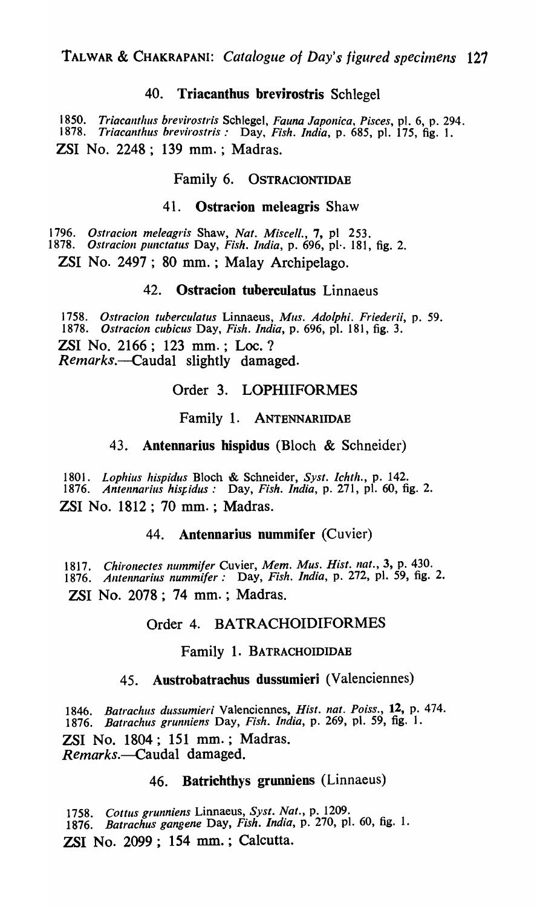# 40. Triacanthus brevirostris Schlegel

*1850. Triacalltlzus brevirostris* Schlegel, *Fauna Japonica, Pisces,* pI. 6, p. 294. *1878. Triacanthus brevirostris:* Day, *Fish. India,* p. 685, pI. 175, fig. 1. ZSI No. 2248; 139 mm. ; Madras.

# Family 6. OSTRACIONTIDAE

### 41. Ostracion meleagris Shaw

*1796. Ostracion meleagris* Shaw, *Nat. Miscell.,* 7, pI 253.

*1878. Ostracioll pUllctatus* Day, *Fish. India,* p. 696, pl·. 181, fig. 2.

ZSI No. 2497; 80 mm. ; Malay Archipelago.

# 42. Ostracion tuberculatus Linnaeus

1758. *Ostracion tuberculatus* Linnaeus, *Mus. Adolphi. Friederii*, p. 59.<br>1878. *Ostracion cubicus* Day, *Fish. India*, p. 696, pl. 181, fig. 3. *1878. Ostracion cubicus* Day, *Fish. India,* p. 696, pI. 181, fig. 3. ZSI No. 2166; 123 mm.; Loc. ? *Remarks.*—Caudal slightly damaged.

# Order 3. LOPHIIFORMES

### Family 1. ANTENNARIIDAE

### 43. Antennarius hispidus (Bloch & Schneider)

*1801. Lophius hispidus* Bloch & Schneider, *Syst. Ichth.,* p. 142. *1876. Antennarius hisf,idus:* Day, *Fish. India,* p. 271, pI. 60, fig. 2. ZSI No. 1812; 70 mm. ; Madras.

### 44. Antennarius nummifer (Cuvier)

1817. Chironectes nummifer Cuvier, Mem. Mus. Hist. nat., 3, p. 430. *1876. Antennarius nummifer:* Day, *Fish. India,* p. 272, pI. 59, fig. 2. ZSI No. 2078; 74 mm. ; Madras.

### Order 4. BATRACHOIDIFORMES

#### Family 1. BATRACHOIDIDAE

# 45. Austrobatrachus dussumieri (Valenciennes)

*1846. Batrachus dussumieri* Valenciennes, *Hist. nat. Poiss.,* 12, p. 474. *1876. Batrachus grunniens* Day, *Fish. India,* p. 269, pI. 59, fig. 1. ZSI No. 1804; 151 mm.; Madras. *Remarks.-Caudal* damaged.

# 46. Batrichthys grunniens (Linnaeus)

*1758. Cottus grunniens* Linnaeus, *Syst. Nat.,* p. 1209. *1876. Batrachus gangene* Day, *Fish. India,* p. 270, pI. 60, fig. 1. ZSI No. 2099; 154 mm. ; Calcutta.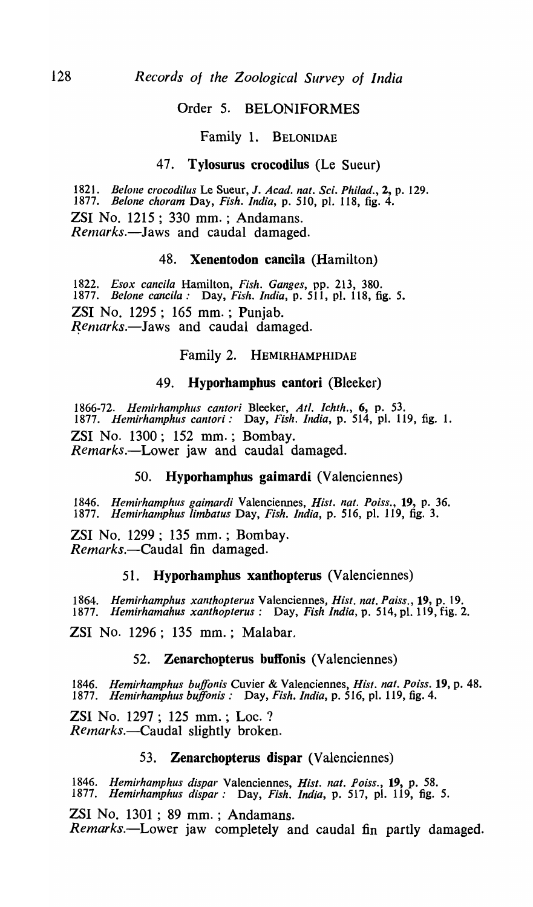### Order 5. BELONIFORMES

### Family 1. BELONIDAE

### 47. Tylosurus crocodilus (Le Sueur)

*1821. Be/olle crocodilus* Le Sueur, J. *Acad. nat. Sci. Phi/ad.,* 2, p. 129. *1877. Be/one choram* Da}, *Fish. India,* p. 510, pI. 118, fig. 4. ZSI No. 1215; 330 mm. ; Andamans. *Remarks.-laws* and caudal damaged.

# 48. Xenentodon caneila (Hamilton)

*1822. Esox candIa* Hamilton, *Fish. Ganges,* pp. 213, 380. *1877. Be/one cancila:* Day, *Fish. India,* p. 511, pI. 118, fig. 5. ZSI No. 1295; 165 mm. ; Punjab. Remarks.-Jaws and caudal damaged.

# Family 2. HEMIRHAMPHIDAE

#### 49. Hyporhamphus cantori (Bleeker)

1866-72. Hemirhamphus cantori Bleeker, Atl. Ichth., 6, p. 53. *1877. Hemirhamphus cantori:* Day, *Fish. India,* p. 514, pI. 119, fig. 1. ZSI No. 1300; 152 mm.; Bombay. *Remarks.-Lower* jaw and caudal damaged.

# 50. Hyporhampbus gaimardi (Valenciennes)

*1846. Hemirhamphus gaimardi* Valenciennes, *Hist. nal. Poiss.,* 19, p. 36. *1877. Hemirhamphus limbatus* Day, *Fish. India,* p. 516, pI. 119, fig. 3.

ZSI No. 1299; 135 mm. ; Bombay. *Remarks.-Caudal* fin damaged.

### 51. Hyporhampbus xanthopterus (Valenciennes)

*1864. Hemirhamphus xanthopterus* Valenciennes, *Hisl. nat. Paiss.,* 19, p. 19. *1877. Hemirhamahus xanthopterus:* Day, *Fish India,* p. 514, pi. 119, fig. 2.

ZSI No. 1296; 135 mm.; Malabar.

# 52. Zenarchopterus buffonis (Valenciennes)

*1846. Hemirhamphus buffonis* Cuvier & Valenciennes, *Hist. nat. Poiss.* 19, p. 48. *1877. Hemirhamphus buffonis:* Day, *Fish. India,* p. 516, pI. 119, fig. 4.

**ZSI** No. 1297; 125 mm.; Loc. ? *Remarks.-Caudal* slightly broken.

### 53. Zenarcbopterus dispar (Valenciennes)

*1846. Hemirhamphus dispar* Valenciennes, *Hist. nat. Poiss.,* 19, p. 58. *1877. Hemirhamphus dis par* : Day, *Fish. India,* p. 517, pI. 119, fig. 5.

ZSI No. 1301 ; 89 mm. ; Andamans. *Remarks.-Lower* jaw completely and caudal fin partly damaged.